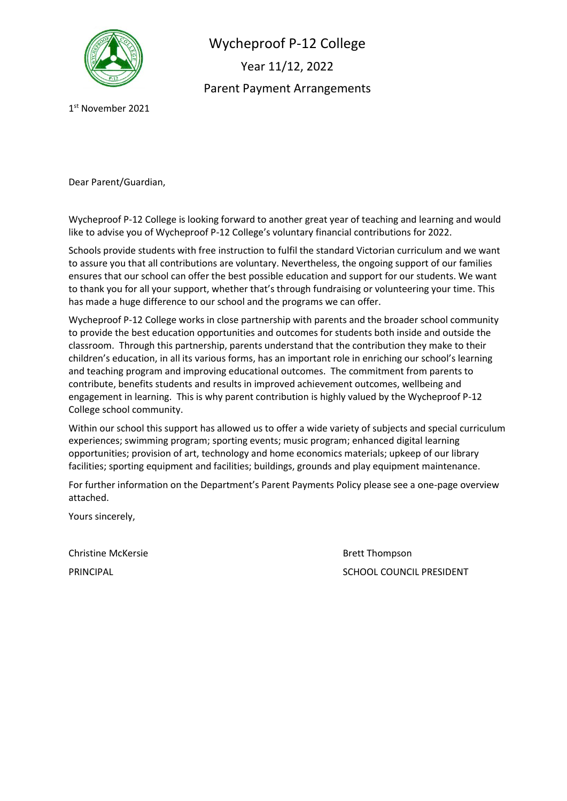

Wycheproof P-12 College Year 11/12, 2022 Parent Payment Arrangements

1 st November 2021

Dear Parent/Guardian,

Wycheproof P-12 College is looking forward to another great year of teaching and learning and would like to advise you of Wycheproof P-12 College's voluntary financial contributions for 2022.

Schools provide students with free instruction to fulfil the standard Victorian curriculum and we want to assure you that all contributions are voluntary. Nevertheless, the ongoing support of our families ensures that our school can offer the best possible education and support for our students. We want to thank you for all your support, whether that's through fundraising or volunteering your time. This has made a huge difference to our school and the programs we can offer.

Wycheproof P-12 College works in close partnership with parents and the broader school community to provide the best education opportunities and outcomes for students both inside and outside the classroom. Through this partnership, parents understand that the contribution they make to their children's education, in all its various forms, has an important role in enriching our school's learning and teaching program and improving educational outcomes. The commitment from parents to contribute, benefits students and results in improved achievement outcomes, wellbeing and engagement in learning. This is why parent contribution is highly valued by the Wycheproof P-12 College school community.

Within our school this support has allowed us to offer a wide variety of subjects and special curriculum experiences; swimming program; sporting events; music program; enhanced digital learning opportunities; provision of art, technology and home economics materials; upkeep of our library facilities; sporting equipment and facilities; buildings, grounds and play equipment maintenance.

For further information on the Department's Parent Payments Policy please see a one-page overview attached.

Yours sincerely,

Christine McKersie **Brett Thompson** 

PRINCIPAL **PRINCIPAL** SCHOOL COUNCIL PRESIDENT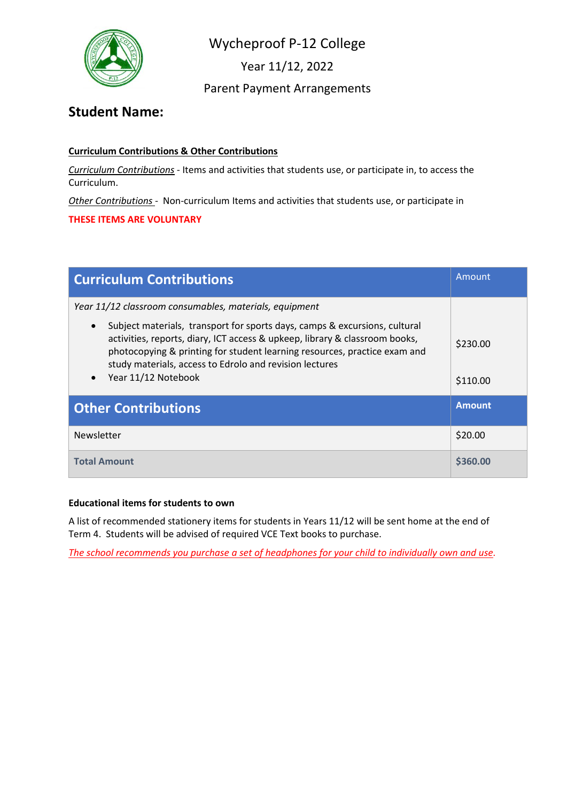

Year 11/12, 2022

Parent Payment Arrangements

## **Student Name:**

### **Curriculum Contributions & Other Contributions**

*Curriculum Contributions* - Items and activities that students use, or participate in, to access the Curriculum.

*Other Contributions* - Non-curriculum Items and activities that students use, or participate in

**THESE ITEMS ARE VOLUNTARY**

| <b>Curriculum Contributions</b>                                                                                                                                                                                                                                                                                                                    | Amount               |
|----------------------------------------------------------------------------------------------------------------------------------------------------------------------------------------------------------------------------------------------------------------------------------------------------------------------------------------------------|----------------------|
| Year 11/12 classroom consumables, materials, equipment                                                                                                                                                                                                                                                                                             |                      |
| Subject materials, transport for sports days, camps & excursions, cultural<br>$\bullet$<br>activities, reports, diary, ICT access & upkeep, library & classroom books,<br>photocopying & printing for student learning resources, practice exam and<br>study materials, access to Edrolo and revision lectures<br>Year 11/12 Notebook<br>$\bullet$ | \$230.00<br>\$110.00 |
| <b>Other Contributions</b>                                                                                                                                                                                                                                                                                                                         | <b>Amount</b>        |
| Newsletter                                                                                                                                                                                                                                                                                                                                         | \$20.00              |
| <b>Total Amount</b>                                                                                                                                                                                                                                                                                                                                | S360.00              |

### **Educational items for students to own**

A list of recommended stationery items for students in Years 11/12 will be sent home at the end of Term 4. Students will be advised of required VCE Text books to purchase.

*The school recommends you purchase a set of headphones for your child to individually own and use.*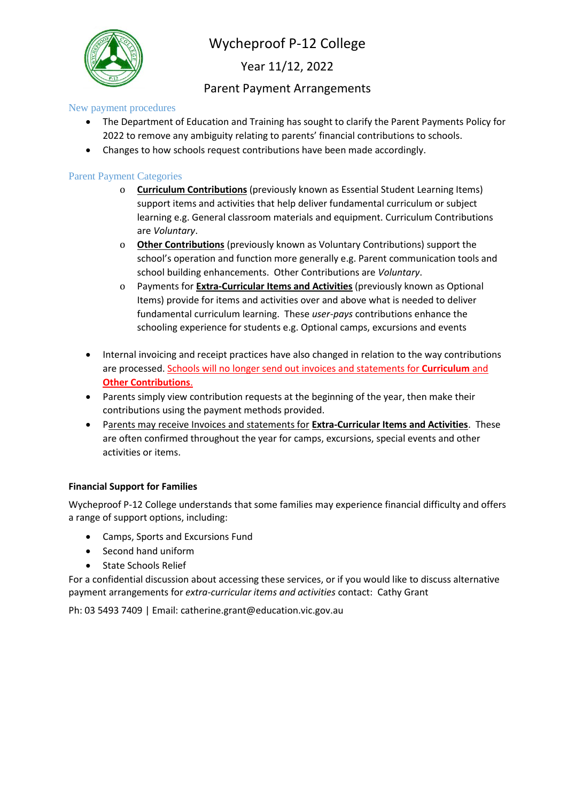

Year 11/12, 2022

### Parent Payment Arrangements

New payment procedures

- The Department of Education and Training has sought to clarify the Parent Payments Policy for 2022 to remove any ambiguity relating to parents' financial contributions to schools.
- Changes to how schools request contributions have been made accordingly.

### Parent Payment Categories

- o **Curriculum Contributions** (previously known as Essential Student Learning Items) support items and activities that help deliver fundamental curriculum or subject learning e.g. General classroom materials and equipment. Curriculum Contributions are *Voluntary*.
- o **Other Contributions** (previously known as Voluntary Contributions) support the school's operation and function more generally e.g. Parent communication tools and school building enhancements. Other Contributions are *Voluntary*.
- o Payments for **Extra-Curricular Items and Activities** (previously known as Optional Items) provide for items and activities over and above what is needed to deliver fundamental curriculum learning. These *user-pays* contributions enhance the schooling experience for students e.g. Optional camps, excursions and events
- Internal invoicing and receipt practices have also changed in relation to the way contributions are processed. Schools will no longer send out invoices and statements for **Curriculum** and **Other Contributions**.
- Parents simply view contribution requests at the beginning of the year, then make their contributions using the payment methods provided.
- Parents may receive Invoices and statements for **Extra-Curricular Items and Activities**. These are often confirmed throughout the year for camps, excursions, special events and other activities or items.

### **Financial Support for Families**

Wycheproof P-12 College understands that some families may experience financial difficulty and offers a range of support options, including:

- Camps, Sports and Excursions Fund
- Second hand uniform
- State Schools Relief

For a confidential discussion about accessing these services, or if you would like to discuss alternative payment arrangements for *extra-curricular items and activities* contact: Cathy Grant

Ph: 03 5493 7409 | Email: catherine.grant@education.vic.gov.au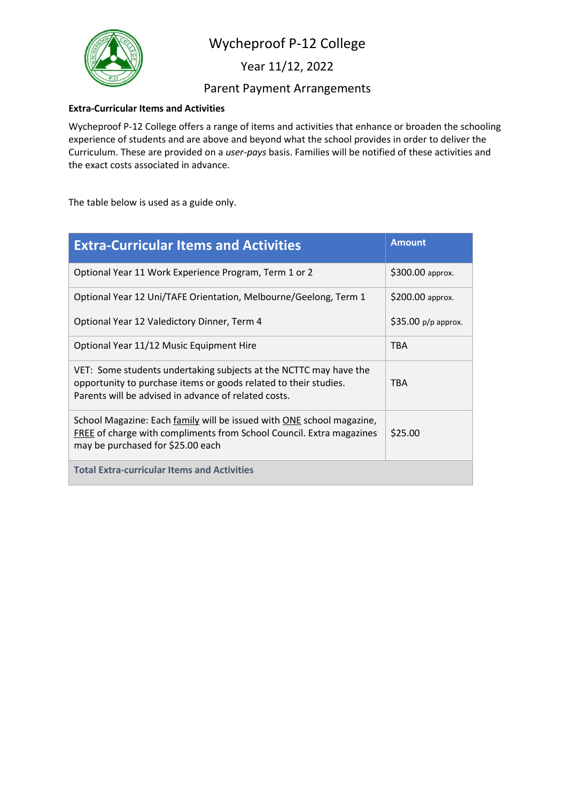

Year 11/12, 2022

### Parent Payment Arrangements

#### **Extra-Curricular Items and Activities**

Wycheproof P-12 College offers a range of items and activities that enhance or broaden the schooling experience of students and are above and beyond what the school provides in order to deliver the Curriculum. These are provided on a *user-pays* basis. Families will be notified of these activities and the exact costs associated in advance.

The table below is used as a guide only.

| <b>Extra-Curricular Items and Activities</b>                                                                                                                                                  | <b>Amount</b>       |
|-----------------------------------------------------------------------------------------------------------------------------------------------------------------------------------------------|---------------------|
| Optional Year 11 Work Experience Program, Term 1 or 2                                                                                                                                         | \$300.00 approx.    |
| Optional Year 12 Uni/TAFE Orientation, Melbourne/Geelong, Term 1                                                                                                                              | \$200.00 approx.    |
| Optional Year 12 Valedictory Dinner, Term 4                                                                                                                                                   | \$35.00 p/p approx. |
| Optional Year 11/12 Music Equipment Hire                                                                                                                                                      | <b>TBA</b>          |
| VET: Some students undertaking subjects at the NCTTC may have the<br>opportunity to purchase items or goods related to their studies.<br>Parents will be advised in advance of related costs. | <b>TBA</b>          |
| School Magazine: Each family will be issued with ONE school magazine,<br>FREE of charge with compliments from School Council. Extra magazines<br>may be purchased for \$25.00 each            | \$25.00             |
| <b>Total Extra-curricular Items and Activities</b>                                                                                                                                            |                     |